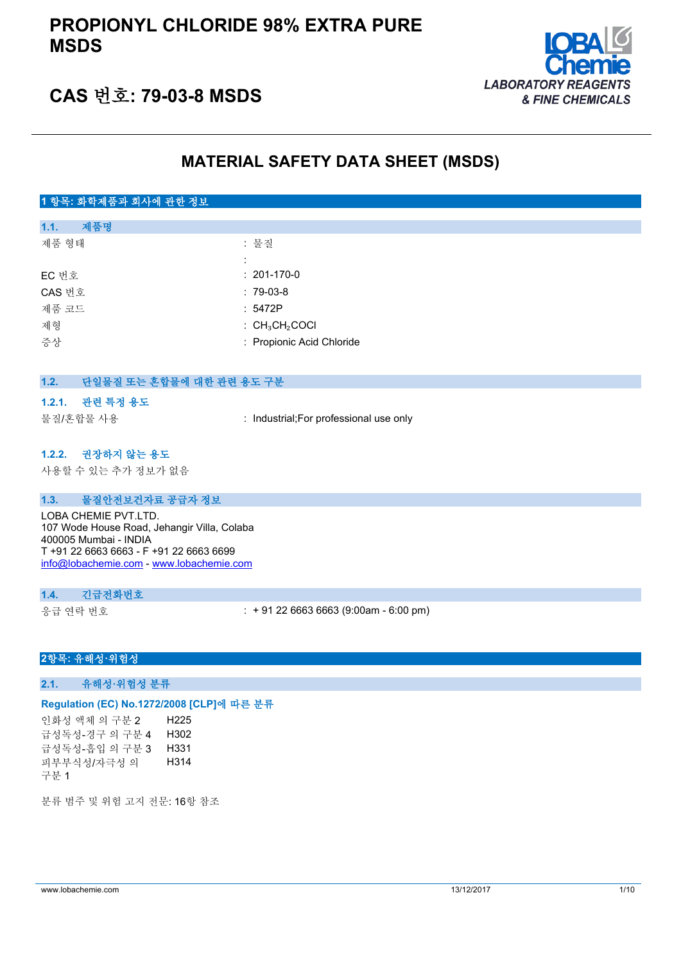

## **CAS 번호: 79-03-8 MSDS**

## **MATERIAL SAFETY DATA SHEET (MSDS)**

## **1 항목: 화학제품과 회사에 관한 정보**

| 제품명<br>1.1. |                                                   |
|-------------|---------------------------------------------------|
| 제품 형태       | : 물질                                              |
|             |                                                   |
| EC 번호       | $: 201-170-0$                                     |
| CAS 번호      | $: 79-03-8$                                       |
| 제품 코드       | : 5472P                                           |
| 제형          | $\therefore$ CH <sub>3</sub> CH <sub>2</sub> COCI |
| 증상          | : Propionic Acid Chloride                         |
|             |                                                   |

| 1.2. | 단일물질 또는 혼합물에 대한 관련 용도 구분                                                                                                                                                            |                                         |
|------|-------------------------------------------------------------------------------------------------------------------------------------------------------------------------------------|-----------------------------------------|
|      | 1.2.1. 관련 특정 용도                                                                                                                                                                     |                                         |
|      | 물질/혼합물 사용                                                                                                                                                                           | : Industrial; For professional use only |
|      | 1.2.2. 권장하지 않는 용도<br>사용할 수 있는 추가 정보가 없음                                                                                                                                             |                                         |
| 1.3. | 물질안전보건자료 공급자 정보                                                                                                                                                                     |                                         |
|      | LOBA CHEMIE PVT.LTD.<br>107 Wode House Road, Jehangir Villa, Colaba<br>400005 Mumbai - INDIA<br>T +91 22 6663 6663 - F +91 22 6663 6699<br>info@lobachemie.com - www.lobachemie.com |                                         |
| 1.4. | 긴급전화번호                                                                                                                                                                              |                                         |

응급 연락 번호 : + 91 22 6663 6663 (9:00am - 6:00 pm)

#### **2항목: 유해성·위험성**

**2.1. 유해성·위험성 분류**

#### **Regulation (EC) No.1272/2008 [CLP]에 따른 분류**

인화성 액체 의 구분 2 H225 급성독성-경구 의 구분 4 H302 급성독성-흡입 의 구분 3 H331 피부부식성/자극성 의 구분 1 H314

분류 범주 및 위험 고지 전문: 16항 참조

www.lobachemie.com 13/12/2017 1/10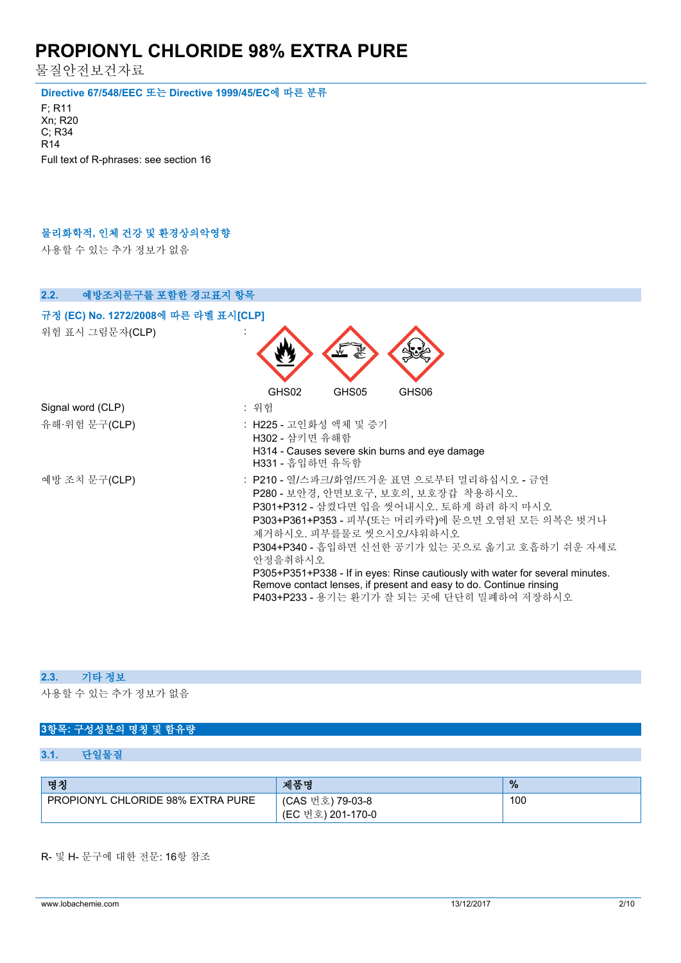물질안전보건자료

**Directive 67/548/EEC 또는 Directive 1999/45/EC에 따른 분류**

F; R11 Xn; R20 C; R34 R14 Full text of R-phrases: see section 16

### **물리화학적, 인체 건강 및 환경상의악영향**

사용할 수 있는 추가 정보가 없음

| 2.2.<br>예방조치문구를 포함한 경고표지 항목          |                                                                                                                                                                                                                                                                                                                                                                                                                                                                                |
|--------------------------------------|--------------------------------------------------------------------------------------------------------------------------------------------------------------------------------------------------------------------------------------------------------------------------------------------------------------------------------------------------------------------------------------------------------------------------------------------------------------------------------|
| 규정 (EC) No. 1272/2008에 따른 라벨 표시[CLP] |                                                                                                                                                                                                                                                                                                                                                                                                                                                                                |
| 위험 표시 그림문자(CLP)                      |                                                                                                                                                                                                                                                                                                                                                                                                                                                                                |
| Signal word (CLP)                    | GHS02<br>GHS05<br>GHS06                                                                                                                                                                                                                                                                                                                                                                                                                                                        |
|                                      | : 위험                                                                                                                                                                                                                                                                                                                                                                                                                                                                           |
| 유해·위험 문구(CLP)                        | : H225 - 고인화성 액체 및 증기<br>H302 - 삼키면 유해함<br>H314 - Causes severe skin burns and eye damage<br>H331 - 흡입하면 유독함                                                                                                                                                                                                                                                                                                                                                                   |
| 예방 조치 문구(CLP)                        | : P210 - 열/스파크/화염/뜨거운 표면 으로부터 멀리하십시오 - 금연<br>P280 - 보안경, 안면보호구, 보호의, 보호장갑 착용하시오.<br>P301+P312 - 삼켰다면 입을 씻어내시오. 토하게 하려 하지 마시오<br>P303+P361+P353 - 피부(또는 머리카락)에 묻으면 오염된 모든 의복은 벗거나<br>제거하시오. 피부를물로 씻으시오/샤워하시오<br>P304+P340 - 흡입하면 신선한 공기가 있는 곳으로 옮기고 호흡하기 쉬운 자세로<br>안정을취하시오<br>P305+P351+P338 - If in eyes: Rinse cautiously with water for several minutes.<br>Remove contact lenses, if present and easy to do. Continue rinsing<br>P403+P233 - 용기는 환기가 잘 되는 곳에 단단히 밀폐하여 저장하시오 |

#### **2.3. 기타 정보**

사용할 수 있는 추가 정보가 없음

### **3항목: 구성성분의 명칭 및 함유량**

#### **3.1. 단일물질**

| 명칭                                       | 제품명                                   | $\frac{9}{6}$ |
|------------------------------------------|---------------------------------------|---------------|
| <b>PROPIONYL CHLORIDE 98% EXTRA PURE</b> | (CAS 번호) 79-03-8<br>(EC 번호) 201-170-0 | 100           |

#### R- 및 H- 문구에 대한 전문: 16항 참조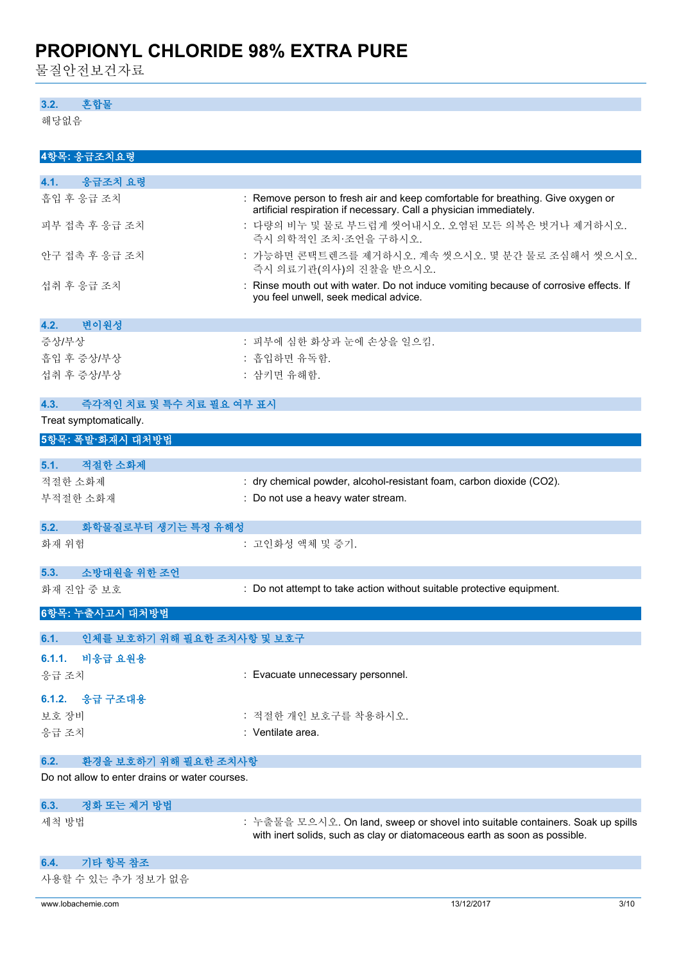물질안전보건자료

### **3.2. 혼합물**

해당없음

| 4항목: 응급조치요령                                    |                                                                                                                                                       |
|------------------------------------------------|-------------------------------------------------------------------------------------------------------------------------------------------------------|
| 응급조치 요령<br>4.1.                                |                                                                                                                                                       |
| 흡입 후 응급 조치                                     | : Remove person to fresh air and keep comfortable for breathing. Give oxygen or<br>artificial respiration if necessary. Call a physician immediately. |
| 피부 접촉 후 응급 조치                                  | : 다량의 비누 및 물로 부드럽게 씻어내시오. 오염된 모든 의복은 벗거나 제거하시오.<br>즉시 의학적인 조치·조언을 구하시오.                                                                               |
| 안구 접촉 후 응급 조치                                  | : 가능하면 콘택트렌즈를 제거하시오. 계속 씻으시오. 몇 분간 물로 조심해서 씻으시오.<br>즉시 의료기관(의사)의 진찰을 받으시오.                                                                            |
| 섭취 후 응급 조치                                     | : Rinse mouth out with water. Do not induce vomiting because of corrosive effects. If<br>you feel unwell, seek medical advice.                        |
| 변이원성<br>4.2.                                   |                                                                                                                                                       |
| 증상/부상                                          | : 피부에 심한 화상과 눈에 손상을 일으킴.                                                                                                                              |
| 흡입 후 증상/부상                                     | : 흡입하면 유독함.                                                                                                                                           |
| 섭취 후 증상/부상                                     | : 삼키면 유해함.                                                                                                                                            |
| 즉각적인 치료 및 특수 치료 필요 여부 표시<br>4.3.               |                                                                                                                                                       |
| Treat symptomatically.                         |                                                                                                                                                       |
| 5항목: 폭발·화재시 대처방법                               |                                                                                                                                                       |
| 적절한 소화제<br>5.1.                                |                                                                                                                                                       |
| 적절한 소화제                                        | : dry chemical powder, alcohol-resistant foam, carbon dioxide (CO2).                                                                                  |
|                                                |                                                                                                                                                       |
| 부적절한 소화재                                       | : Do not use a heavy water stream.                                                                                                                    |
| 화학물질로부터 생기는 특정 유해성<br>5.2.                     |                                                                                                                                                       |
| 화재 위험                                          | : 고인화성 액체 및 증기.                                                                                                                                       |
| 소방대원을 위한 조언<br>5.3.                            |                                                                                                                                                       |
| 화재 진압 중 보호                                     | : Do not attempt to take action without suitable protective equipment.                                                                                |
| 6항목: 누출사고시 대처방법                                |                                                                                                                                                       |
| 인체를 보호하기 위해 필요한 조치사항 및 보호구<br>6.1.             |                                                                                                                                                       |
| 6.1.1. 비응급 요원용                                 |                                                                                                                                                       |
| 응급 조치                                          | : Evacuate unnecessary personnel.                                                                                                                     |
|                                                |                                                                                                                                                       |
| 6.1.2. 응급 구조대용                                 |                                                                                                                                                       |
| 보호 장비                                          | : 적절한 개인 보호구를 착용하시오.                                                                                                                                  |
| 응급 조치                                          | : Ventilate area.                                                                                                                                     |
| 환경을 보호하기 위해 필요한 조치사항<br>6.2.                   |                                                                                                                                                       |
| Do not allow to enter drains or water courses. |                                                                                                                                                       |
| 정화 또는 제거 방법<br>6.3.                            |                                                                                                                                                       |
| 세척 방법                                          | : 누출물을 모으시오. On land, sweep or shovel into suitable containers. Soak up spills                                                                        |
|                                                | with inert solids, such as clay or diatomaceous earth as soon as possible.                                                                            |
| 기타 항목 참조<br>6.4.                               |                                                                                                                                                       |
| 사용할 수 있는 추가 정보가 없음                             |                                                                                                                                                       |
| www.lobachemie.com                             | 13/12/2017<br>3/10                                                                                                                                    |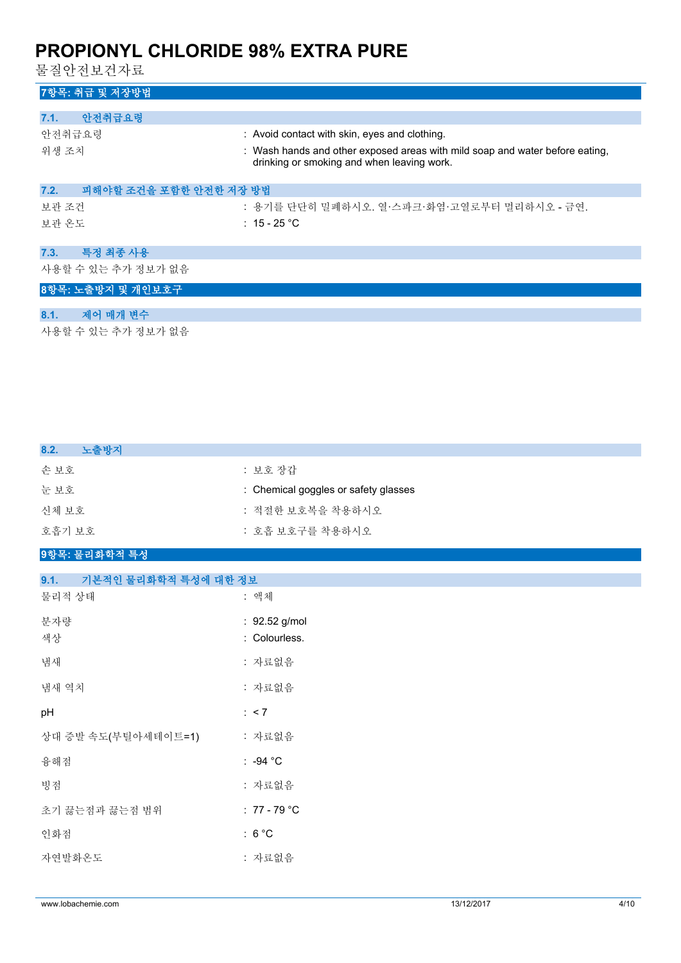물질안전보건자료

## **7항목: 취급 및 저장방법**

| 안전취급요령<br>7.1.                 |                                                                                                                            |
|--------------------------------|----------------------------------------------------------------------------------------------------------------------------|
| 안전취급요령                         | : Avoid contact with skin, eyes and clothing.                                                                              |
| 위생 조치                          | : Wash hands and other exposed areas with mild soap and water before eating,<br>drinking or smoking and when leaving work. |
| 피해야할 조건을 포함한 안전한 저장 방법<br>7.2. |                                                                                                                            |
| 보관 조건                          | : 용기를 단단히 밀폐하시오. 열·스파크·화염·고열로부터 멀리하시오 - 금연.                                                                                |
| 보관 온도                          | : 15 - 25 °C                                                                                                               |
| 특정 최종 사용<br>7.3.               |                                                                                                                            |
| 사용할 수 있는 추가 정보가 없음             |                                                                                                                            |
| 8항목: 노출방지 및 개인보호구              |                                                                                                                            |
| 제어 매개 변수<br>8.1.               |                                                                                                                            |

사용할 수 있는 추가 정보가 없음

| 8.2.<br>노출방지                 |                                      |
|------------------------------|--------------------------------------|
| 손보호                          | : 보호 장갑                              |
| 눈보호                          | : Chemical goggles or safety glasses |
| 신체 보호                        | : 적절한 보호복을 착용하시오                     |
| 호흡기 보호                       | : 호흡 보호구를 착용하시오                      |
| 9항목: 물리화학적 특성                |                                      |
| 9.1.<br>기본적인 물리화학적 특성에 대한 정보 |                                      |
| 물리적 상태                       | : 액체                                 |
| 분자량                          | : 92.52 g/mol                        |
| 색상                           | : Colourless.                        |
| 냄새                           | : 자료없음                               |
| 냄새 역치                        | : 자료없음                               |
| pH                           | : < 7                                |
| 상대 증발 속도(부틸아세테이트=1)          | : 자료없음                               |
| 융해점                          | : -94 $^{\circ}$ C                   |
| 빙점                           | : 자료없음                               |
| 초기 끓는점과 끓는점 범위               | : $77 - 79$ °C                       |
| 인화점                          | : $6^{\circ}$ C                      |
| 자연발화온도                       | : 자료없음                               |
|                              |                                      |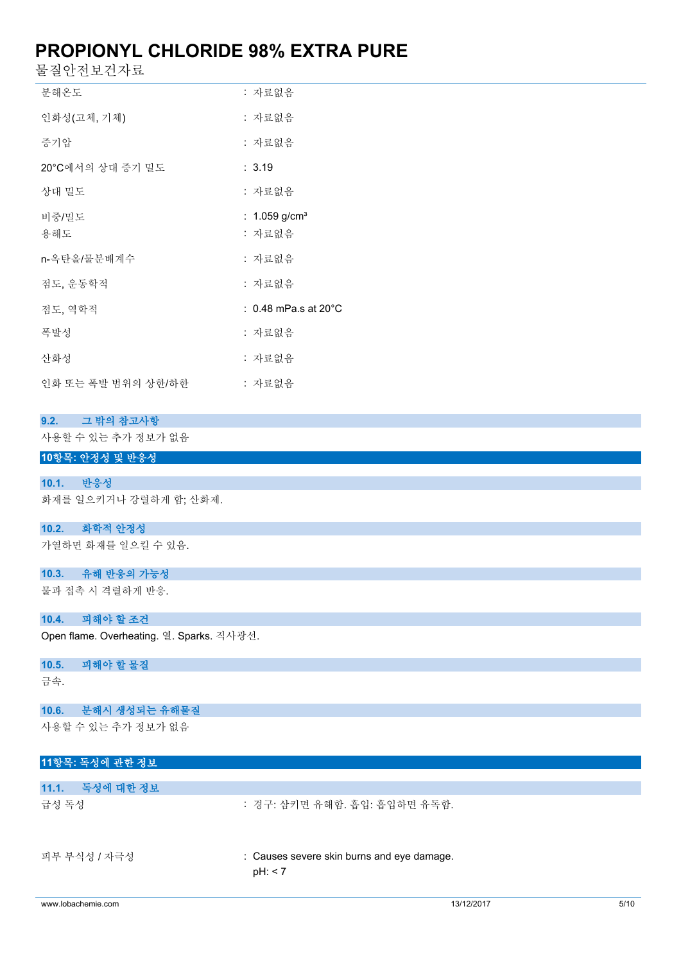물질안전보건자료

| 분해온도               | : 자료없음                          |
|--------------------|---------------------------------|
| 인화성(고체, 기체)        | : 자료없음                          |
| 증기압                | : 자료없음                          |
| 20°C에서의 상대 증기 밀도   | : 3.19                          |
| 상대 밀도              | : 자료없음                          |
| 비중/밀도              | : $1.059$ g/cm <sup>3</sup>     |
| 용해도                | : 자료없음                          |
| n-옥탄올/물분배계수        | : 자료없음                          |
| 점도, 운동학적           | : 자료없음                          |
| 젂도. 역학적            | : 0.48 mPa.s at 20 $^{\circ}$ C |
| 폭발성                | : 자료없음                          |
| 사화성                | : 자료없음                          |
| 인화 또는 폭발 범위의 상한/하한 | : 자료없음                          |

### **9.2. 그 밖의 참고사항**

사용할 수 있는 추가 정보가 없음

### **10항목: 안정성 및 반응성**

**10.1. 반응성**

화재를 일으키거나 강렬하게 함; 산화제.

#### **10.2. 화학적 안정성**

가열하면 화재를 일으킬 수 있음.

#### **10.3. 유해 반응의 가능성**

물과 접촉 시 격렬하게 반응.

#### **10.4. 피해야 할 조건**

Open flame. Overheating. 열. Sparks. 직사광선.

#### **10.5. 피해야 할 물질**

금속.

#### **10.6. 분해시 생성되는 유해물질**

사용할 수 있는 추가 정보가 없음

### **11항목: 독성에 관한 정보**

| 11.1. 독성에 대한 정보 |                                                       |
|-----------------|-------------------------------------------------------|
| 급성 독성           | : 경구: 삼키면 유해함. 흡입: 흡입하면 유독함.                          |
| 피부 부식성 / 자극성    | : Causes severe skin burns and eye damage.<br>pH: < 7 |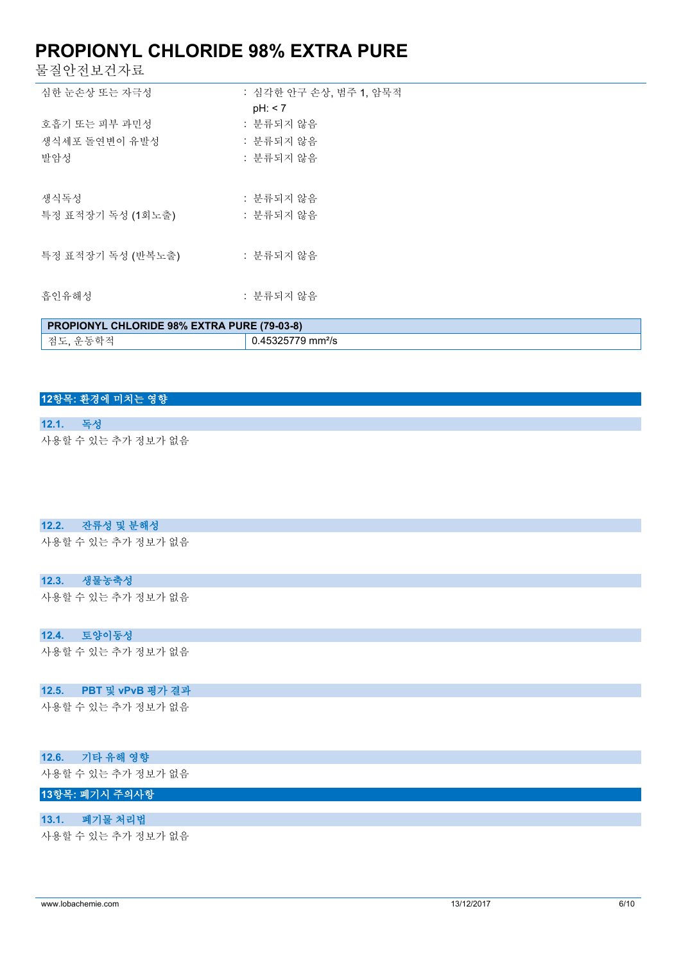물질안전보건자료

| 심한 눈손상 또는 자극성                         | : 심각한 안구 손상, 범주 1, 암묵적<br>pH: < 7   |
|---------------------------------------|-------------------------------------|
| 호흡기 또는 피부 과민성<br>생식세포 돌여변이 유발성<br>발암성 | : 분류되지 않음<br>: 분류되지 않음<br>: 분류되지 않음 |
| 생식독성<br>특정 표적장기 독성 (1회노출)             | : 분류되지 않음<br>: 분류되지 않음              |
| 특정 표적장기 독성 (반복노출)                     | : 분류되지 않음                           |
| 흡인유해성                                 | : 분류되지 않음                           |

| <b>PROPIONYL CHLORIDE 98% EXTRA PURE (79-03-8)</b> |               |  |
|----------------------------------------------------|---------------|--|
| 점도,<br>으도하저                                        | 5325779 mm²/s |  |

### **12항목: 환경에 미치는 영향**

**12.1. 독성** 사용할 수 있는 추가 정보가 없음

#### **12.2. 잔류성 및 분해성**

사용할 수 있는 추가 정보가 없음

#### **12.3. 생물농축성**

사용할 수 있는 추가 정보가 없음

### **12.4. 토양이동성**

사용할 수 있는 추가 정보가 없음

#### **12.5. PBT 및 vPvB 평가 결과**

사용할 수 있는 추가 정보가 없음

### **12.6. 기타 유해 영향**

사용할 수 있는 추가 정보가 없음

## **13항목: 폐기시 주의사항**

#### **13.1. 폐기물 처리법**

사용할 수 있는 추가 정보가 없음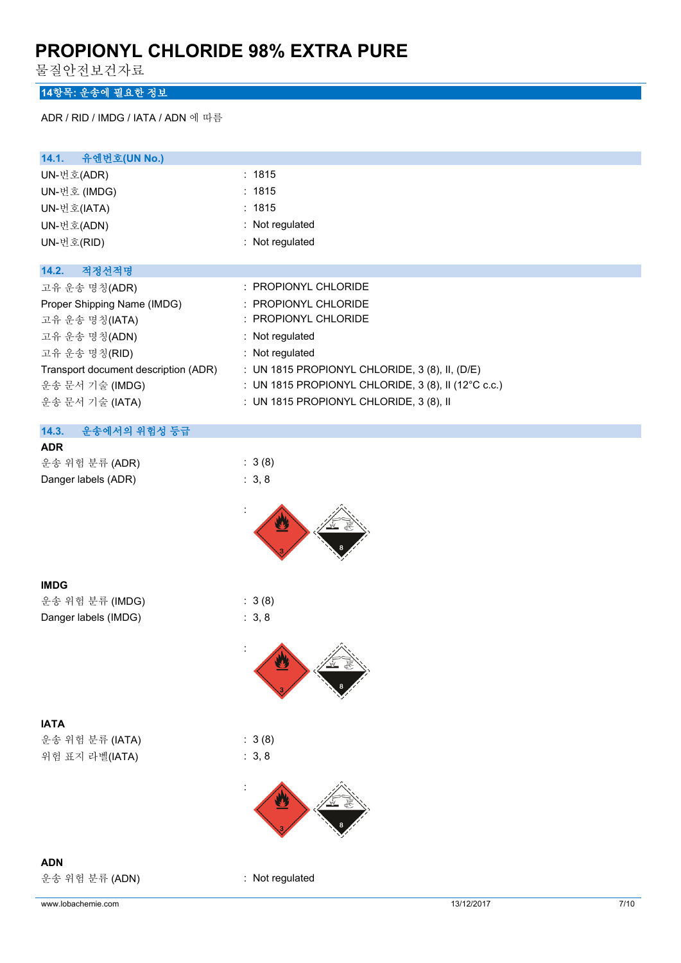물질안전보건자료

### **14항목: 운송에 필요한 정보**

ADR / RID / IMDG / IATA / ADN 에 따름

| 14.1.<br>유엔번호(UN No.)                |                                                     |
|--------------------------------------|-----------------------------------------------------|
| UN-번호(ADR)                           | : 1815                                              |
| UN-번호 (IMDG)                         | : 1815                                              |
| UN-번호(IATA)                          | : 1815                                              |
| UN-번호(ADN)                           | : Not regulated                                     |
| UN-번호(RID)                           | : Not regulated                                     |
| 적정선적명<br>14.2.                       |                                                     |
| 고유 운송 명칭(ADR)                        | : PROPIONYL CHLORIDE                                |
| Proper Shipping Name (IMDG)          | : PROPIONYL CHLORIDE                                |
| 고유 운송 명칭(IATA)                       | : PROPIONYL CHLORIDE                                |
| 고유 운송 명칭(ADN)                        | : Not regulated                                     |
| 고유 운송 명칭(RID)                        | : Not regulated                                     |
| Transport document description (ADR) | : UN 1815 PROPIONYL CHLORIDE, 3 (8), II, (D/E)      |
| 운송 문서 기술 (IMDG)                      | : UN 1815 PROPIONYL CHLORIDE, 3 (8), II (12°C c.c.) |
| 운송 문서 기술 (IATA)                      | : UN 1815 PROPIONYL CHLORIDE, 3 (8), II             |
| 운송에서의 위험성 등급<br>14.3.                |                                                     |
| <b>ADR</b>                           |                                                     |
| 운송 위험 분류 (ADR)                       | : 3(8)                                              |
| Danger labels (ADR)                  | : 3, 8                                              |
|                                      |                                                     |
| <b>IMDG</b>                          |                                                     |
| 운송 위험 분류 (IMDG)                      | : 3(8)                                              |
| Danger labels (IMDG)                 | : 3, 8                                              |
|                                      |                                                     |

**IATA**

운송 위험 분류 (IATA) : 3 (8) 위험 표지 라벨(IATA) : 3, 8



**ADN**

운송 위험 분류 (ADN) : Not regulated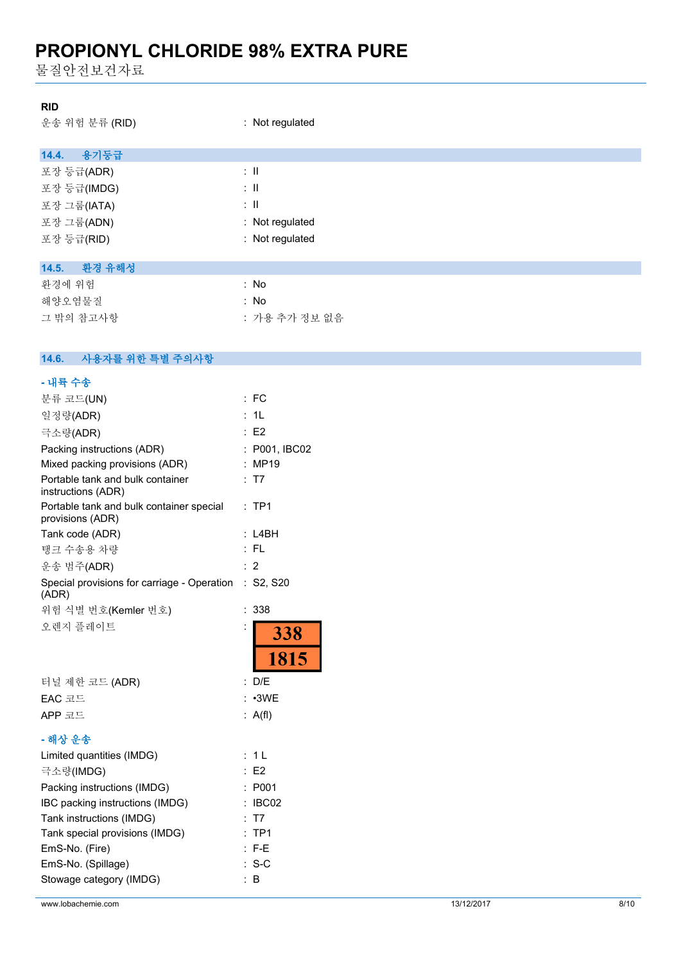물질안전보건자료

#### **RID**

운송 위험 분류 (RID) : Not regulated

|  | Not regulat |  |
|--|-------------|--|
|  |             |  |

| 용기둥급<br>14.4.   |                          |
|-----------------|--------------------------|
| 포장 등급(ADR)      | $\therefore$ 11          |
| 포장 등급(IMDG)     | $\therefore$ $\parallel$ |
| 포장 그룹(IATA)     | ÷Ш                       |
| 포장 그룹(ADN)      | : Not regulated          |
| 포장 등급(RID)      | : Not regulated          |
|                 |                          |
| 환경 유해성<br>14.5. |                          |
| 환경에 위험          | : No                     |
| 해양오염물질          | : No                     |
| 그 밖의 참고사항       | : 가용 추가 정보 없음            |

#### $14.6.$ **14.6. 사용자를 위한 특별 주의사항**

| - 내륙 수송                                                        |                             |
|----------------------------------------------------------------|-----------------------------|
| 분류 코드(UN)                                                      | : FC                        |
| 일정량(ADR)                                                       | 1 <sub>L</sub>              |
| 극소량(ADR)                                                       | : E2                        |
| Packing instructions (ADR)                                     | : P001, IBC02               |
| Mixed packing provisions (ADR)                                 | <b>MP19</b>                 |
| Portable tank and bulk container<br>instructions (ADR)         | T7                          |
| Portable tank and bulk container special<br>provisions (ADR)   | TP1<br>÷                    |
| Tank code (ADR)                                                | L4BH                        |
| 탱크 수송용 차량                                                      | : FL                        |
| 운송 범주(ADR)                                                     | $\overline{2}$              |
| Special provisions for carriage - Operation : S2, S20<br>(ADR) |                             |
| 위험 식별 번호(Kemler 번호)                                            | 338<br>$\ddot{\phantom{a}}$ |
| 오렌지 플레이트                                                       | <b>338</b>                  |
|                                                                | 1815                        |
| 터널 제한 코드 (ADR)                                                 | D/E                         |
| EAC 코드                                                         | $\cdot$ 3WE                 |
| APP 코드                                                         | A(f)<br>÷.                  |
| - 해상 운송                                                        |                             |
| Limited quantities (IMDG)                                      | : 1 L                       |
| 극소량(IMDG)                                                      | E <sub>2</sub>              |
| Packing instructions (IMDG)                                    | P001                        |
| IBC packing instructions (IMDG)                                | IBC02                       |
| Tank instructions (IMDG)                                       | T7                          |
| Tank special provisions (IMDG)                                 | TP <sub>1</sub>             |
| EmS-No. (Fire)                                                 | F-E                         |
| EmS-No. (Spillage)                                             | $S-C$                       |
| Stowage category (IMDG)                                        | : B                         |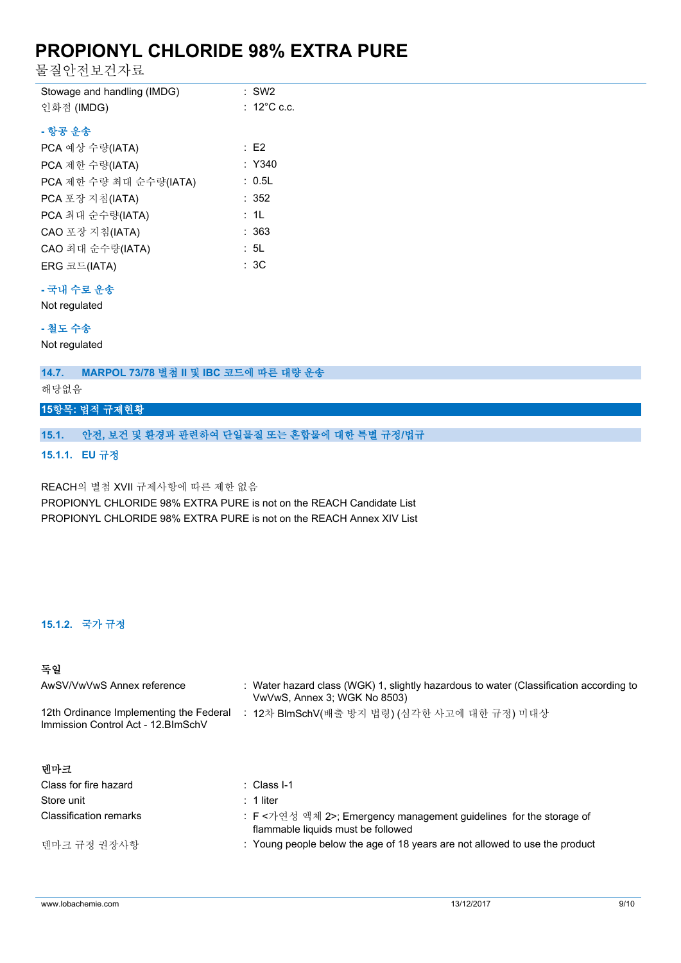물질안전보건자료

| Stowage and handling (IMDG)                |  | $:$ SW2          |
|--------------------------------------------|--|------------------|
| 인화점 (IMDG)                                 |  | $\div$ 12°C c.c. |
| - 항공 우송                                    |  |                  |
| PCA 예상 수량(IATA)                            |  | :E2              |
| PCA 제한 수량(IATA)                            |  | $:$ Y340         |
| PCA 제한 수량 최대 순수량(IATA)                     |  | : 0.5L           |
| PCA 포장 지침(IATA)                            |  | : 352            |
| PCA 최대 순수량(IATA)                           |  | : 1L             |
| CAO 포장 지침(IATA)                            |  | : 363            |
| CAO 최대 순수량(IATA)                           |  | : 5L             |
| $ERG \n \n \mathbb{Z}$ $\mathbb{Z}$ (IATA) |  | : 3C             |
|                                            |  |                  |

#### **- 국내 수로 운송**

Not regulated

#### **- 철도 수송**

Not regulated

**14.7. MARPOL 73/78 별첨 II 및 IBC 코드에 따른 대량 운송**

해당없음

## **15항목: 법적 규제현황**

### **15.1. 안전, 보건 및 환경과 관련하여 단일물질 또는 혼합물에 대한 특별 규정/법규**

**15.1.1. EU 규정**

REACH의 별첨 XVII 규제사항에 따른 제한 없음 PROPIONYL CHLORIDE 98% EXTRA PURE is not on the REACH Candidate List PROPIONYL CHLORIDE 98% EXTRA PURE is not on the REACH Annex XIV List

## **15.1.2. 국가 규정**

### **독일**

| AwSV/VwVwS Annex reference                                                     | : Water hazard class (WGK) 1, slightly hazardous to water (Classification according to<br>VwVwS, Annex 3; WGK No 8503) |
|--------------------------------------------------------------------------------|------------------------------------------------------------------------------------------------------------------------|
| 12th Ordinance Implementing the Federal<br>Immission Control Act - 12. BlmSchV | : 12차 BlmSchV(배출 방지 법령) (심각한 사고에 대한 규정) 미대상                                                                            |
| 데마크                                                                            |                                                                                                                        |
| Class for fire hazard                                                          | $\therefore$ Class I-1                                                                                                 |
| Store unit                                                                     | $: 1$ liter                                                                                                            |
| <b>Classification remarks</b>                                                  | : F<가연성 액체 2>; Emergency management guidelines for the storage of<br>flammable liquids must be followed                |
| 덴마크 규정 권장사항                                                                    | : Young people below the age of 18 years are not allowed to use the product                                            |